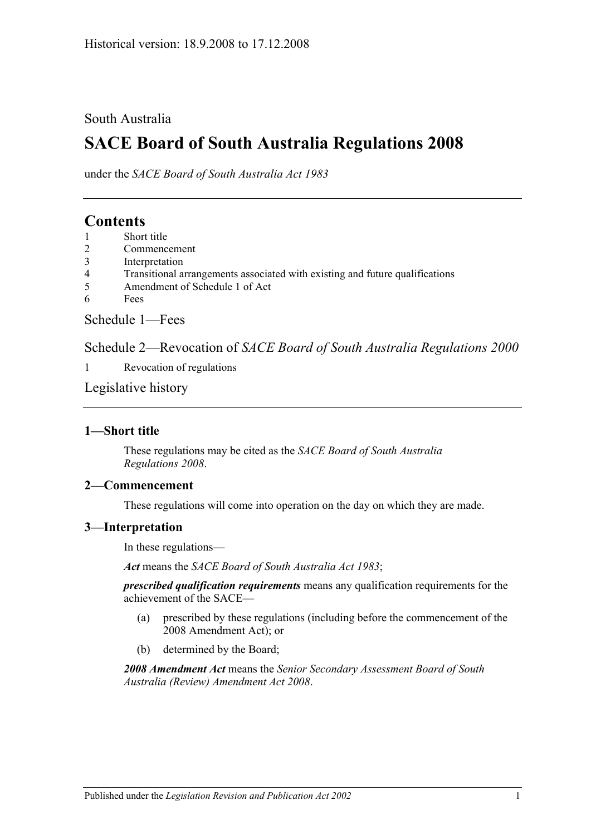## South Australia

# **SACE Board of South Australia Regulations 2008**

under the *SACE Board of South Australia Act 1983*

# **Contents**

- 1 [Short title](#page-0-0)
- 2 [Commencement](#page-0-1)
- 3 [Interpretation](#page-0-2)
- 4 [Transitional arrangements associated with existing and future qualifications](#page-1-0)
- 5 [Amendment of Schedule 1 of Act](#page-1-1)
- 6 [Fees](#page-1-2)

[Schedule 1—Fees](#page-1-3)

Schedule 2—Revocation of *[SACE Board of South Australia Regulations](#page-2-0) 2000*

1 [Revocation of regulations](#page-2-1)

[Legislative history](#page-3-0)

### <span id="page-0-0"></span>**1—Short title**

These regulations may be cited as the *SACE Board of South Australia Regulations 2008*.

### <span id="page-0-1"></span>**2—Commencement**

These regulations will come into operation on the day on which they are made.

### <span id="page-0-2"></span>**3—Interpretation**

In these regulations—

*Act* means the *SACE Board [of South Australia Act](http://www.legislation.sa.gov.au/index.aspx?action=legref&type=act&legtitle=SACE%20Board%20of%20South%20Australia%20Act%201983) 1983*;

*prescribed qualification requirements* means any qualification requirements for the achievement of the SACE—

- (a) prescribed by these regulations (including before the commencement of the 2008 Amendment Act); or
- (b) determined by the Board;

*2008 Amendment Act* means the *[Senior Secondary Assessment Board of South](http://www.legislation.sa.gov.au/index.aspx?action=legref&type=act&legtitle=Senior%20Secondary%20Assessment%20Board%20of%20South%20Australia%20(Review)%20Amendment%20Act%202008)  [Australia \(Review\) Amendment Act](http://www.legislation.sa.gov.au/index.aspx?action=legref&type=act&legtitle=Senior%20Secondary%20Assessment%20Board%20of%20South%20Australia%20(Review)%20Amendment%20Act%202008) 2008*.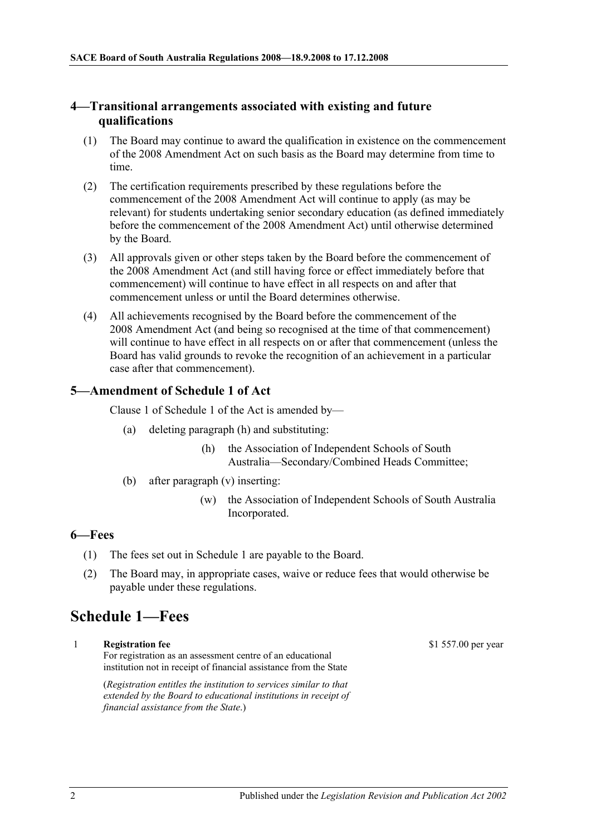#### <span id="page-1-0"></span>**4—Transitional arrangements associated with existing and future qualifications**

- (1) The Board may continue to award the qualification in existence on the commencement of the 2008 Amendment Act on such basis as the Board may determine from time to time.
- (2) The certification requirements prescribed by these regulations before the commencement of the 2008 Amendment Act will continue to apply (as may be relevant) for students undertaking senior secondary education (as defined immediately before the commencement of the 2008 Amendment Act) until otherwise determined by the Board.
- (3) All approvals given or other steps taken by the Board before the commencement of the 2008 Amendment Act (and still having force or effect immediately before that commencement) will continue to have effect in all respects on and after that commencement unless or until the Board determines otherwise.
- (4) All achievements recognised by the Board before the commencement of the 2008 Amendment Act (and being so recognised at the time of that commencement) will continue to have effect in all respects on or after that commencement (unless the Board has valid grounds to revoke the recognition of an achievement in a particular case after that commencement).

#### <span id="page-1-1"></span>**5—Amendment of Schedule 1 of Act**

Clause 1 of Schedule 1 of the Act is amended by—

- (a) deleting paragraph (h) and substituting:
	- (h) the Association of Independent Schools of South Australia—Secondary/Combined Heads Committee;
- (b) after paragraph (v) inserting:
	- (w) the Association of Independent Schools of South Australia Incorporated.

#### <span id="page-1-2"></span>**6—Fees**

- (1) The fees set out in [Schedule 1](#page-1-3) are payable to the Board.
- (2) The Board may, in appropriate cases, waive or reduce fees that would otherwise be payable under these regulations.

# <span id="page-1-3"></span>**Schedule 1—Fees**

1 **Registration fee**

For registration as an assessment centre of an educational institution not in receipt of financial assistance from the State

(*Registration entitles the institution to services similar to that extended by the Board to educational institutions in receipt of financial assistance from the State*.)

\$1 557.00 per year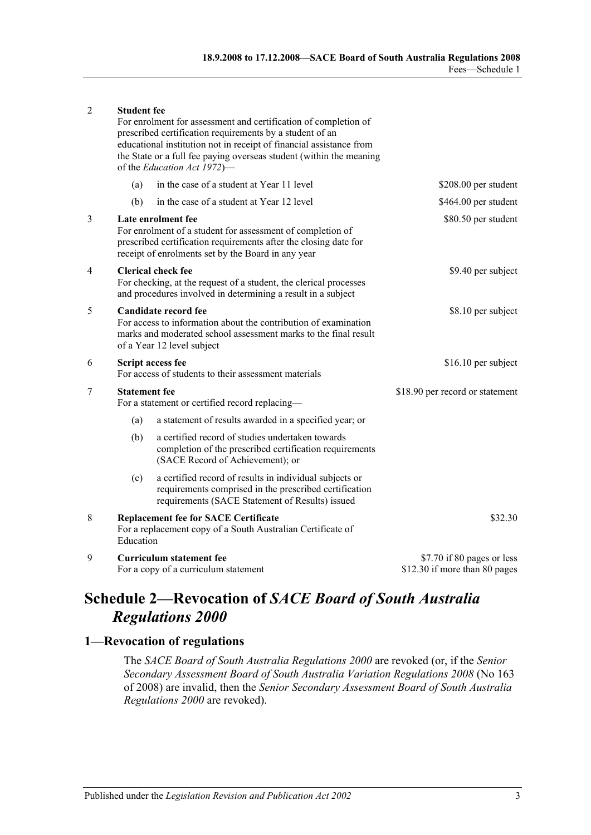| 2              | <b>Student fee</b>                                                                                                                                                                                         | For enrolment for assessment and certification of completion of<br>prescribed certification requirements by a student of an<br>educational institution not in receipt of financial assistance from<br>the State or a full fee paying overseas student (within the meaning<br>of the Education Act 1972)- |                                                             |
|----------------|------------------------------------------------------------------------------------------------------------------------------------------------------------------------------------------------------------|----------------------------------------------------------------------------------------------------------------------------------------------------------------------------------------------------------------------------------------------------------------------------------------------------------|-------------------------------------------------------------|
|                | (a)                                                                                                                                                                                                        | in the case of a student at Year 11 level                                                                                                                                                                                                                                                                | \$208.00 per student                                        |
|                | (b)                                                                                                                                                                                                        | in the case of a student at Year 12 level                                                                                                                                                                                                                                                                | \$464.00 per student                                        |
| 3              | Late enrolment fee<br>For enrolment of a student for assessment of completion of<br>prescribed certification requirements after the closing date for<br>receipt of enrolments set by the Board in any year |                                                                                                                                                                                                                                                                                                          | \$80.50 per student                                         |
| 4              | <b>Clerical check fee</b><br>For checking, at the request of a student, the clerical processes<br>and procedures involved in determining a result in a subject                                             |                                                                                                                                                                                                                                                                                                          | \$9.40 per subject                                          |
| 5              | Candidate record fee<br>For access to information about the contribution of examination<br>marks and moderated school assessment marks to the final result<br>of a Year 12 level subject                   |                                                                                                                                                                                                                                                                                                          | \$8.10 per subject                                          |
| 6              | Script access fee<br>For access of students to their assessment materials                                                                                                                                  |                                                                                                                                                                                                                                                                                                          | \$16.10 per subject                                         |
| $\overline{7}$ | <b>Statement fee</b><br>For a statement or certified record replacing-                                                                                                                                     |                                                                                                                                                                                                                                                                                                          | \$18.90 per record or statement                             |
|                | (a)                                                                                                                                                                                                        | a statement of results awarded in a specified year; or                                                                                                                                                                                                                                                   |                                                             |
|                | (b)                                                                                                                                                                                                        | a certified record of studies undertaken towards<br>completion of the prescribed certification requirements<br>(SACE Record of Achievement); or                                                                                                                                                          |                                                             |
|                | (c)                                                                                                                                                                                                        | a certified record of results in individual subjects or<br>requirements comprised in the prescribed certification<br>requirements (SACE Statement of Results) issued                                                                                                                                     |                                                             |
| 8              | <b>Replacement fee for SACE Certificate</b><br>For a replacement copy of a South Australian Certificate of<br>Education                                                                                    |                                                                                                                                                                                                                                                                                                          | \$32.30                                                     |
| 9              | <b>Curriculum statement fee</b><br>For a copy of a curriculum statement                                                                                                                                    |                                                                                                                                                                                                                                                                                                          | \$7.70 if 80 pages or less<br>\$12.30 if more than 80 pages |

# <span id="page-2-0"></span>**Schedule 2—Revocation of** *SACE Board of South Australia Regulations 2000*

## <span id="page-2-1"></span>**1—Revocation of regulations**

The *[SACE Board of South Australia Regulations](http://www.legislation.sa.gov.au/index.aspx?action=legref&type=subordleg&legtitle=SACE%20Board%20of%20South%20Australia%20Regulations%202000) 2000* are revoked (or, if the *[Senior](http://www.legislation.sa.gov.au/index.aspx?action=legref&type=subordleg&legtitle=Senior%20Secondary%20Assessment%20Board%20of%20South%20Australia%20Variation%20Regulations%202008)  [Secondary Assessment Board of South Australia Variation Regulations 2008](http://www.legislation.sa.gov.au/index.aspx?action=legref&type=subordleg&legtitle=Senior%20Secondary%20Assessment%20Board%20of%20South%20Australia%20Variation%20Regulations%202008)* (No 163 of 2008) are invalid, then the *[Senior Secondary Assessment Board of South](http://www.legislation.sa.gov.au/index.aspx?action=legref&type=subordleg&legtitle=Senior%20Secondary%20Assessment%20Board%20of%20South%20Australia%20Regulations%202000) Australia [Regulations 2000](http://www.legislation.sa.gov.au/index.aspx?action=legref&type=subordleg&legtitle=Senior%20Secondary%20Assessment%20Board%20of%20South%20Australia%20Regulations%202000)* are revoked).